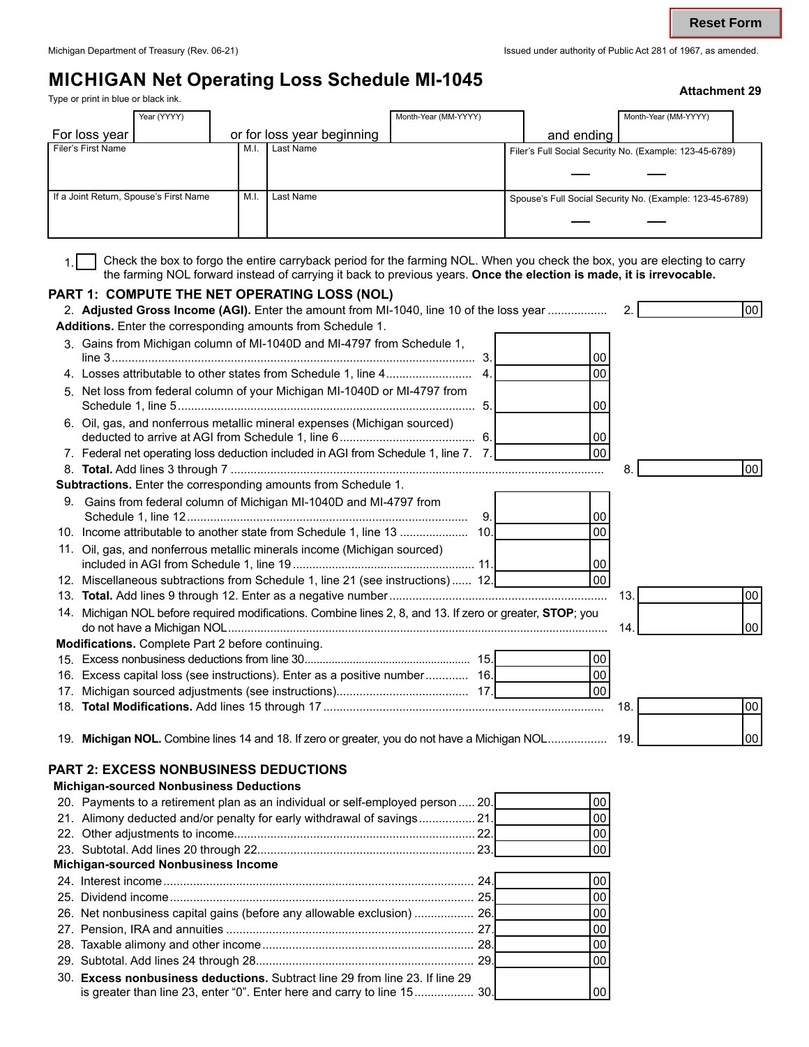# **MICHIGAN Net Operating Loss Schedule MI-1045**<br>
Type or print in blue or black ink.<br> **Attachment 29**

| ttachment 29، |  |  |  |
|---------------|--|--|--|
|               |  |  |  |

| Year (YYYY)                            |     |                            | Month-Year (MM-YYYY) |            | Month-Year (MM-YYYY)                                     |  |
|----------------------------------------|-----|----------------------------|----------------------|------------|----------------------------------------------------------|--|
| For loss year                          |     | or for loss year beginning |                      | and ending |                                                          |  |
| Filer's First Name                     | M.I | Last Name                  |                      |            | Filer's Full Social Security No. (Example: 123-45-6789)  |  |
|                                        |     |                            |                      |            |                                                          |  |
|                                        |     |                            |                      |            |                                                          |  |
| If a Joint Return, Spouse's First Name | M.I | Last Name                  |                      |            | Spouse's Full Social Security No. (Example: 123-45-6789) |  |
|                                        |     |                            |                      |            |                                                          |  |
|                                        |     |                            |                      |            |                                                          |  |

Check the box to forgo the entire carryback period for the farming NOL. When you check the box, you are electing to carry the farming NOL forward instead of carrying it back to previous years. **Once the election is made, it is irrevocable.**  1.

#### **PART 1: COMPUTE THE NET OPERATING LOSS (NOL)**

| 2. Adjusted Gross Income (AGI). Enter the amount from MI-1040, line 10 of the loss year                   | 2.  | 00        |
|-----------------------------------------------------------------------------------------------------------|-----|-----------|
| Additions. Enter the corresponding amounts from Schedule 1.                                               |     |           |
| 3. Gains from Michigan column of MI-1040D and MI-4797 from Schedule 1,<br>00                              |     |           |
| 00<br>$\mathbf{4}$ .                                                                                      |     |           |
| 5. Net loss from federal column of your Michigan MI-1040D or MI-4797 from<br>00                           |     |           |
| 6. Oil, gas, and nonferrous metallic mineral expenses (Michigan sourced)<br>00                            |     |           |
| 00 <sub>1</sub><br>7. Federal net operating loss deduction included in AGI from Schedule 1, line 7. 7.    |     |           |
|                                                                                                           | 8.  | 00        |
| Subtractions. Enter the corresponding amounts from Schedule 1.                                            |     |           |
| 9. Gains from federal column of Michigan MI-1040D and MI-4797 from<br>9.<br>00                            |     |           |
| 00                                                                                                        |     |           |
| 11. Oil, gas, and nonferrous metallic minerals income (Michigan sourced)<br>00                            |     |           |
| lool<br>12. Miscellaneous subtractions from Schedule 1, line 21 (see instructions) 12.                    |     |           |
|                                                                                                           | 13. | 00        |
| 14. Michigan NOL before required modifications. Combine lines 2, 8, and 13. If zero or greater, STOP; you | 14  | 00        |
| Modifications. Complete Part 2 before continuing.                                                         |     |           |
| 00                                                                                                        |     |           |
| 00<br>16. Excess capital loss (see instructions). Enter as a positive number 16.                          |     |           |
| 00                                                                                                        |     |           |
|                                                                                                           | 18. | 00        |
| 19. Michigan NOL. Combine lines 14 and 18. If zero or greater, you do not have a Michigan NOL 19.         |     | <b>00</b> |
| <b>PART 2: EXCESS NONBUSINESS DEDUCTIONS</b><br><b>Michigan-sourced Nonbusiness Deductions</b>            |     |           |
| 00 <sub>0</sub><br>20. Payments to a retirement plan as an individual or self-employed person  20.        |     |           |
|                                                                                                           |     |           |

## 20. Payments to a retirement plan as an individual or self-employed person ..... 20. 21. Alimony deducted and/or penalty for early withdrawal of savings.

| 21. Alimony deducted and/or penalty for early withdrawal of savings          |    | 00 |
|------------------------------------------------------------------------------|----|----|
|                                                                              |    | 00 |
|                                                                              | 00 |    |
| <b>Michigan-sourced Nonbusiness Income</b>                                   |    |    |
|                                                                              | 00 |    |
|                                                                              | 00 |    |
| 26. Net nonbusiness capital gains (before any allowable exclusion)  26.      | 00 |    |
|                                                                              | 00 |    |
|                                                                              | 00 |    |
|                                                                              | 00 |    |
| 30. Excess nonbusiness deductions. Subtract line 29 from line 23. If line 29 |    |    |
| is greater than line 23, enter "0". Enter here and carry to line 15 30.      | 00 |    |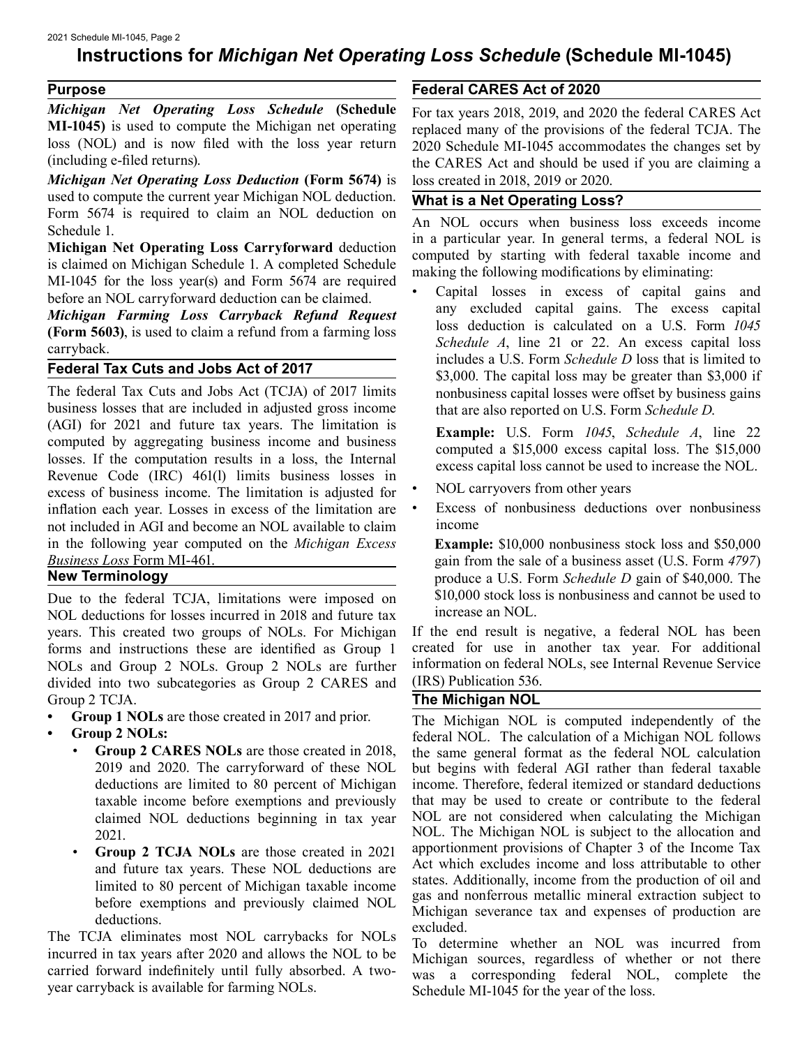### **Instructions for** *Michigan Net Operating Loss Schedule* **(Schedule MI-1045)**

#### **Purpose**

*Michigan Net Operating Loss Schedule* **(Schedule MI-1045)** is used to compute the Michigan net operating loss (NOL) and is now filed with the loss year return (including e-filed returns).

*Michigan Net Operating Loss Deduction* **(Form 5674)** is used to compute the current year Michigan NOL deduction. Form 5674 is required to claim an NOL deduction on Schedule 1.

**Michigan Net Operating Loss Carryforward** deduction is claimed on Michigan Schedule 1. A completed Schedule MI-1045 for the loss year(s) and Form 5674 are required before an NOL carryforward deduction can be claimed.

*Michigan Farming Loss Carryback Refund Request*  **(Form 5603)**, is used to claim a refund from a farming loss carryback.

#### **Federal Tax Cuts and Jobs Act of 2017**

The federal Tax Cuts and Jobs Act (TCJA) of 2017 limits business losses that are included in adjusted gross income (AGI) for 2021 and future tax years. The limitation is computed by aggregating business income and business losses. If the computation results in a loss, the Internal Revenue Code (IRC) 461(l) limits business losses in excess of business income. The limitation is adjusted for inflation each year. Losses in excess of the limitation are not included in AGI and become an NOL available to claim in the following year computed on the *Michigan Excess Business Loss* Form MI-461.

#### **New Terminology**

Due to the federal TCJA, limitations were imposed on NOL deductions for losses incurred in 2018 and future tax years. This created two groups of NOLs. For Michigan forms and instructions these are identified as Group 1 NOLs and Group 2 NOLs. Group 2 NOLs are further divided into two subcategories as Group 2 CARES and Group 2 TCJA.

- **Group 1 NOLs** are those created in 2017 and prior.
- **Group 2 NOLs:** 
	- **Group 2 CARES NOLs** are those created in 2018, 2019 and 2020. The carryforward of these NOL deductions are limited to 80 percent of Michigan taxable income before exemptions and previously claimed NOL deductions beginning in tax year 2021.
	- **Group 2 TCJA NOLs** are those created in 2021 and future tax years. These NOL deductions are limited to 80 percent of Michigan taxable income before exemptions and previously claimed NOL deductions.

The TCJA eliminates most NOL carrybacks for NOLs incurred in tax years after 2020 and allows the NOL to be carried forward indefinitely until fully absorbed. A twoyear carryback is available for farming NOLs.

#### **Federal CARES Act of 2020**

For tax years 2018, 2019, and 2020 the federal CARES Act replaced many of the provisions of the federal TCJA. The 2020 Schedule MI-1045 accommodates the changes set by the CARES Act and should be used if you are claiming a loss created in 2018, 2019 or 2020.

#### **What is a Net Operating Loss?**

An NOL occurs when business loss exceeds income in a particular year. In general terms, a federal NOL is computed by starting with federal taxable income and making the following modifications by eliminating:

• Capital losses in excess of capital gains and any excluded capital gains. The excess capital loss deduction is calculated on a U.S. Form *1045 Schedule A*, line 21 or 22. An excess capital loss includes a U.S. Form *Schedule D* loss that is limited to \$3,000. The capital loss may be greater than \$3,000 if nonbusiness capital losses were offset by business gains that are also reported on U.S. Form *Schedule D*.

**Example:** U.S. Form *1045*, *Schedule A*, line 22 computed a \$15,000 excess capital loss. The \$15,000 excess capital loss cannot be used to increase the NOL.

- NOL carryovers from other years
- Excess of nonbusiness deductions over nonbusiness income

**Example:** \$10,000 nonbusiness stock loss and \$50,000 gain from the sale of a business asset (U.S. Form *4797*) produce a U.S. Form *Schedule D* gain of \$40,000. The \$10,000 stock loss is nonbusiness and cannot be used to increase an NOL.

If the end result is negative, a federal NOL has been created for use in another tax year. For additional information on federal NOLs, see Internal Revenue Service (IRS) Publication 536.

#### **The Michigan NOL**

The Michigan NOL is computed independently of the federal NOL. The calculation of a Michigan NOL follows the same general format as the federal NOL calculation but begins with federal AGI rather than federal taxable income. Therefore, federal itemized or standard deductions that may be used to create or contribute to the federal NOL are not considered when calculating the Michigan NOL. The Michigan NOL is subject to the allocation and apportionment provisions of Chapter 3 of the Income Tax Act which excludes income and loss attributable to other states. Additionally, income from the production of oil and gas and nonferrous metallic mineral extraction subject to Michigan severance tax and expenses of production are excluded.

To determine whether an NOL was incurred from Michigan sources, regardless of whether or not there was a corresponding federal NOL, complete the Schedule MI-1045 for the year of the loss.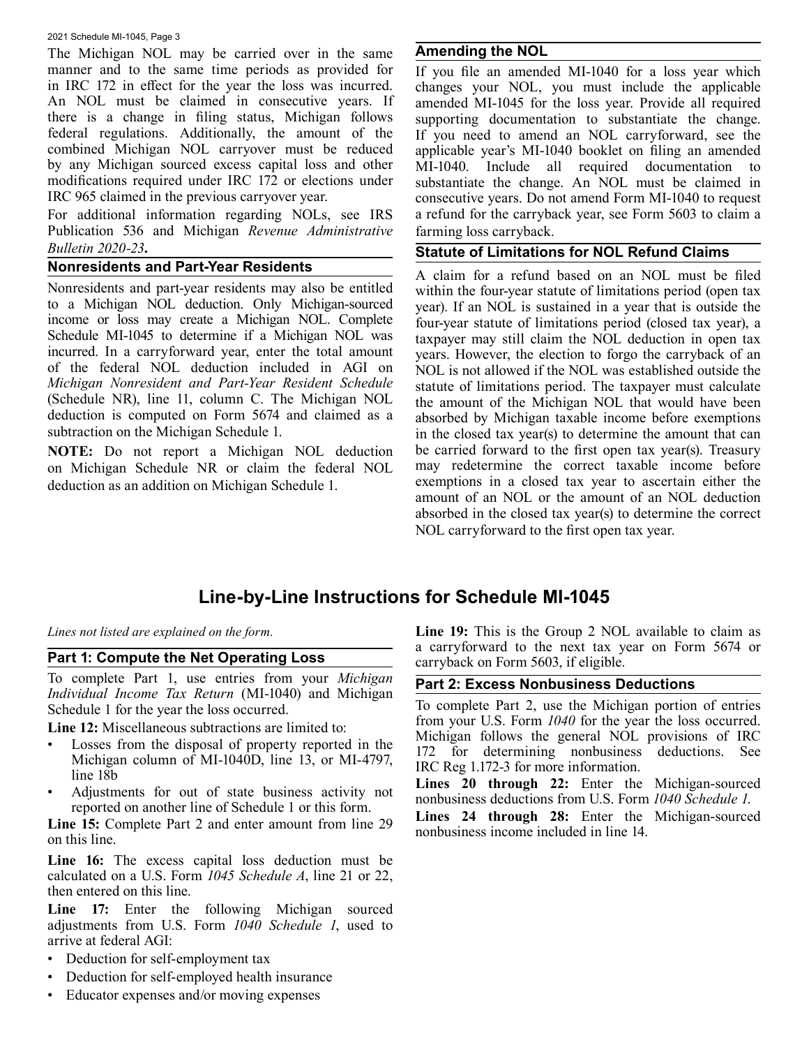2021 Schedule MI-1045, Page 3

The Michigan NOL may be carried over in the same manner and to the same time periods as provided for in IRC 172 in effect for the year the loss was incurred. An NOL must be claimed in consecutive years. If there is a change in filing status, Michigan follows federal regulations. Additionally, the amount of the combined Michigan NOL carryover must be reduced by any Michigan sourced excess capital loss and other modifications required under IRC 172 or elections under IRC 965 claimed in the previous carryover year.

For additional information regarding NOLs, see IRS Publication 536 and Michigan *Revenue Administrative Bulletin 2020-23***.** 

#### **Nonresidents and Part-Year Residents**

Nonresidents and part-year residents may also be entitled to a Michigan NOL deduction. Only Michigan-sourced income or loss may create a Michigan NOL. Complete Schedule MI-1045 to determine if a Michigan NOL was incurred. In a carryforward year, enter the total amount of the federal NOL deduction included in AGI on *Michigan Nonresident and Part-Year Resident Schedule*  (Schedule NR), line 11, column C. The Michigan NOL deduction is computed on Form 5674 and claimed as a subtraction on the Michigan Schedule 1.

**NOTE:** Do not report a Michigan NOL deduction on Michigan Schedule NR or claim the federal NOL deduction as an addition on Michigan Schedule 1.

#### **Amending the NOL**

If you file an amended MI-1040 for a loss year which changes your NOL, you must include the applicable amended MI-1045 for the loss year. Provide all required supporting documentation to substantiate the change. If you need to amend an NOL carryforward, see the applicable year's MI-1040 booklet on filing an amended MI-1040. Include all required documentation to substantiate the change. An NOL must be claimed in consecutive years. Do not amend Form MI-1040 to request a refund for the carryback year, see Form 5603 to claim a farming loss carryback.

#### **Statute of Limitations for NOL Refund Claims**

A claim for a refund based on an NOL must be filed within the four-year statute of limitations period (open tax year). If an NOL is sustained in a year that is outside the four-year statute of limitations period (closed tax year), a taxpayer may still claim the NOL deduction in open tax years. However, the election to forgo the carryback of an NOL is not allowed if the NOL was established outside the statute of limitations period. The taxpayer must calculate the amount of the Michigan NOL that would have been absorbed by Michigan taxable income before exemptions in the closed tax year(s) to determine the amount that can be carried forward to the first open tax year(s). Treasury may redetermine the correct taxable income before exemptions in a closed tax year to ascertain either the amount of an NOL or the amount of an NOL deduction absorbed in the closed tax year(s) to determine the correct NOL carryforward to the first open tax year.

# **Line-by-Line Instructions for Schedule MI-1045**

*Lines not listed are explained on the form.* 

#### **Part 1: Compute the Net Operating Loss**

To complete Part 1, use entries from your *Michigan Individual Income Tax Return* (MI-1040) and Michigan Schedule 1 for the year the loss occurred.

**Line 12:** Miscellaneous subtractions are limited to:

- Losses from the disposal of property reported in the Michigan column of MI-1040D, line 13, or MI-4797, line 18b
- Adjustments for out of state business activity not reported on another line of Schedule 1 or this form.

**Line 15:** Complete Part 2 and enter amount from line 29 on this line.

 then entered on this line. **Line 16:** The excess capital loss deduction must be calculated on a U.S. Form *1045 Schedule A*, line 21 or 22,

Line 17: Enter the following Michigan sourced adjustments from U.S. Form *1040 Schedule 1*, used to arrive at federal AGI:

- Deduction for self-employment tax
- Deduction for self-employed health insurance
- Educator expenses and/or moving expenses

**Line 19:** This is the Group 2 NOL available to claim as a carryforward to the next tax year on Form 5674 or carryback on Form 5603, if eligible.

#### **Part 2: Excess Nonbusiness Deductions**

To complete Part 2, use the Michigan portion of entries from your U.S. Form *1040* for the year the loss occurred. Michigan follows the general NOL provisions of IRC 172 for determining nonbusiness deductions. See IRC Reg 1.172-3 for more information.

Lines 20 through 22: Enter the Michigan-sourced nonbusiness deductions from U.S. Form *1040 Schedule 1*.

Lines 24 through 28: Enter the Michigan-sourced nonbusiness income included in line 14.